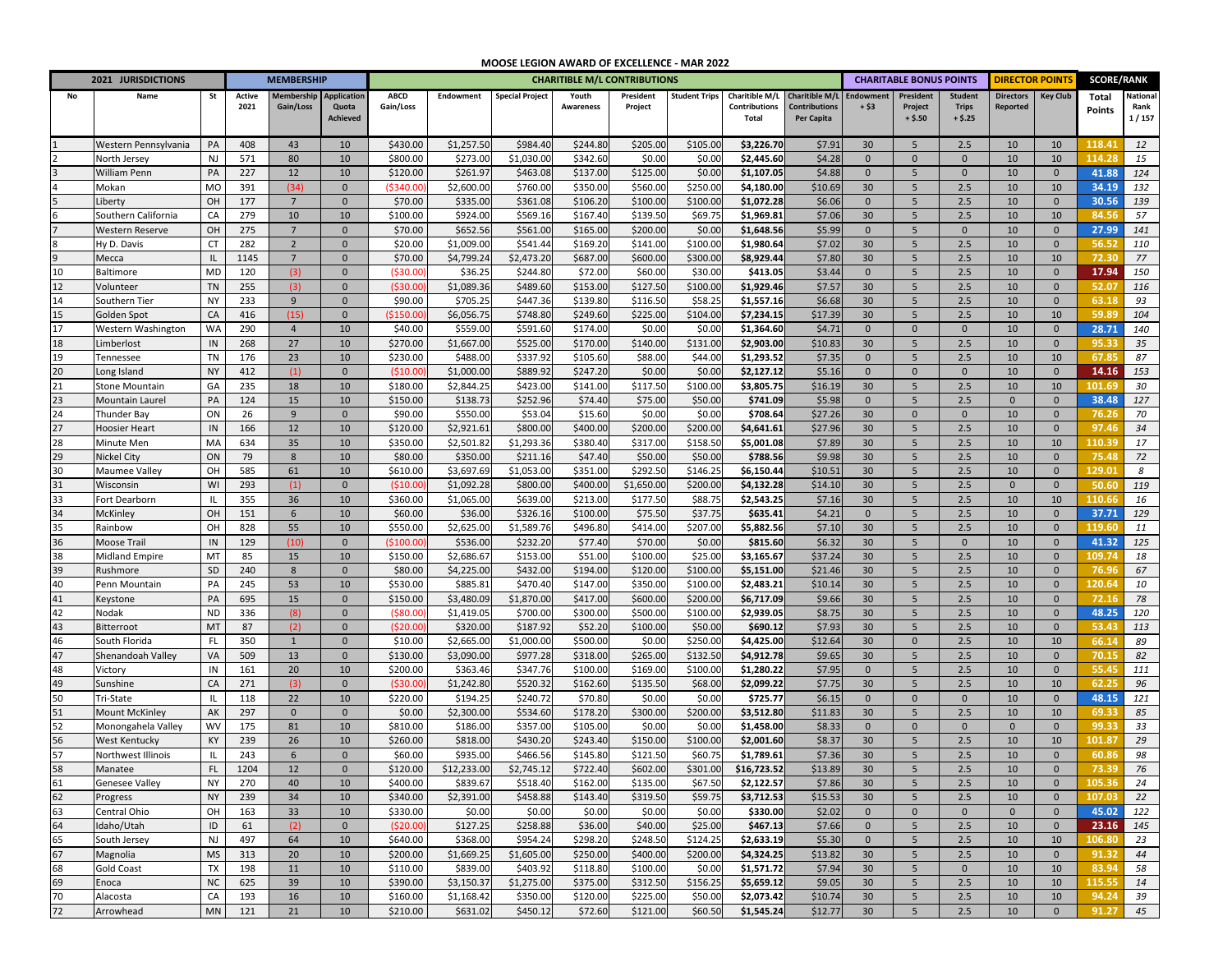## **MOOSE LEGION AWARD OF EXCELLENCE ‐ MAR 2022**

|                | 2021 JURISDICTIONS        |                 |            | <b>MEMBERSHIP</b> |                                |                      | <b>CHARITIBLE M/L CONTRIBUTIONS</b> |                        |                      |                      |                      |                          |                                    |                       |                                    | <b>CHARITABLE BONUS POINTS</b> | <b>DIRECTOR POINT!</b> |                             | <b>SCORE/RANK</b> |               |
|----------------|---------------------------|-----------------|------------|-------------------|--------------------------------|----------------------|-------------------------------------|------------------------|----------------------|----------------------|----------------------|--------------------------|------------------------------------|-----------------------|------------------------------------|--------------------------------|------------------------|-----------------------------|-------------------|---------------|
| No             | Name                      | St              | Active     | <b>Membership</b> | Application                    | <b>ABCD</b>          | Endowment                           | <b>Special Project</b> | Youth                | President            | <b>Student Trips</b> | Charitible M/L           | <b>Charitible M/L</b>              | Endowment             | President                          | <b>Student</b>                 | <b>Directors</b>       | <b>Key Club</b>             | Total             | National      |
|                |                           |                 | 2021       | Gain/Loss         | Quota<br>Achieved              | Gain/Loss            |                                     |                        | <b>Awareness</b>     | Project              |                      | Contributions<br>Total   | <b>Contributions</b><br>Per Capita | + \$3                 | Project<br>$+ $.50$                | <b>Trips</b><br>$+ $.25$       | Reported               |                             | Points            | Rank<br>1/157 |
|                |                           |                 |            |                   |                                |                      |                                     |                        |                      |                      |                      |                          |                                    |                       |                                    |                                |                        |                             |                   |               |
|                | Western Pennsylvania      | PA              | 408        | 43                | 10                             | \$430.00             | \$1,257.50                          | \$984.40               | \$244.80             | \$205.00             | \$105.00             | \$3,226.70               | \$7.91                             | 30                    | 5                                  | 2.5                            | 10                     | 10                          | 118.41            | 12            |
|                | North Jersey              | NJ              | 571        | 80                | 10                             | \$800.00             | \$273.00                            | \$1,030.00             | \$342.60             | \$0.00               | \$0.00               | \$2,445.60               | \$4.28                             | $\mathbf{0}$          | $\mathbf 0$                        | $\Omega$                       | 10                     | 10                          | 114.28            | 15            |
|                | <b>William Penn</b>       | PA              | 227        | 12                | 10                             | \$120.00             | \$261.97                            | \$463.08               | \$137.00             | \$125.00             | \$0.00               | \$1,107.05               | \$4.88                             | $\mathbf{0}$          | 5                                  | $\Omega$                       | 10                     | $\mathbf 0$                 | 41.88             | 124           |
|                | Mokan                     | MO              | 391        | (34)              | $\Omega$                       | ( \$340.0            | \$2,600.00                          | \$760.00               | \$350.00             | \$560.0              | \$250.0              | \$4,180.00               | \$10.69                            | 30                    | 5                                  | 2.5                            | 10                     | 10                          | 34.19             | 132           |
|                | Liberty                   | OH              | 177        | $7\overline{ }$   | $\Omega$                       | \$70.00              | \$335.00                            | \$361.08               | \$106.20             | \$100.0              | \$100.0              | \$1,072.28               | \$6.06                             | $\mathbf 0$           | 5                                  | 2.5                            | 10                     | $\mathbf 0$                 | 30.56             | 139           |
|                | Southern California       | CA              | 279        | 10                | 10                             | \$100.00             | \$924.0                             | \$569.16               | \$167.40             | \$139.5              | \$69.7               | \$1,969.81               | \$7.06                             | 30                    | 5                                  | 2.5                            | 10                     | 10                          | 84.56             | 57            |
|                | <b>Western Reserve</b>    | OH              | 275        | $\overline{7}$    | $\Omega$                       | \$70.00              | \$652.5                             | \$561.00               | \$165.00             | \$200.00             | \$0.0                | \$1,648.56               | \$5.99                             | $\mathbf{0}$          | 5                                  | $\Omega$                       | 10                     | $\mathbf{0}$                | 27.99             | 141           |
|                | Hy D. Davis               | <b>CT</b>       | 282        | $\overline{2}$    | $\Omega$                       | \$20.00              | \$1,009.0                           | \$541.4                | \$169.20             | \$141.0              | \$100.0              | \$1,980.64               | \$7.02                             | 30                    | 5                                  | 2.5                            | 10                     | $\mathbf{0}$                | 56.52             | 110           |
| $\overline{9}$ | Mecca                     |                 | 1145       | $7\overline{ }$   | $\Omega$                       | \$70.00              | \$4,799.2                           | \$2,473.20             | \$687.00             | \$600.0              | \$300.0              | \$8,929.44               | \$7.80                             | 30                    | $5\phantom{.0}$                    | 2.5                            | 10<br>10               | 10                          | 72.30<br>17.94    | 77            |
| 10<br>12       | Baltimore<br>Volunteer    | MD<br><b>TN</b> | 120<br>255 | (3)<br>(3)        | $\mathbf{0}$<br>$\overline{0}$ | (530.00)<br>(530.0)  | \$36.2<br>\$1,089.36                | \$244.80<br>\$489.60   | \$72.00<br>\$153.00  | \$60.00<br>\$127.50  | \$30.0<br>\$100.0    | \$413.05<br>\$1,929.46   | \$3.44<br>\$7.57                   | $\mathbf{0}$<br>30    | $5\phantom{.0}$<br>$5\phantom{.0}$ | 2.5<br>2.5                     | 10                     | $\mathbf 0$<br>$\mathbf{0}$ | 52.07             | 150<br>116    |
| 14             | Southern Tier             | <b>NY</b>       | 233        | 9                 | $\Omega$                       | \$90.00              | \$705.2                             | \$447.36               | \$139.80             | \$116.50             | \$58.2               | \$1,557.16               | \$6.68                             | 30                    | $5\phantom{.0}$                    | 2.5                            | 10                     | $\mathbf 0$                 | 63.18             | 93            |
| 15             | Golden Spot               | CA              | 416        | (15)              | $\Omega$                       | (\$150.00            | \$6,056.79                          | \$748.80               | \$249.60             | \$225.00             | \$104.0              | \$7,234.15               | \$17.39                            | 30                    | $\sqrt{5}$                         | 2.5                            | 10                     | 10                          | 59.8              | 104           |
| 17             | Western Washington        | WA              | 290        | $\overline{4}$    | 10                             | \$40.00              | \$559.00                            | \$591.60               | \$174.00             | \$0.00               | \$0.00               | \$1,364.60               | \$4.71                             | $\mathbf 0$           | $\mathbf 0$                        | $\mathbf 0$                    | 10                     | $\mathbf 0$                 | 28.71             | 140           |
| 18             | .imberlost                | $\mathsf{IN}$   | 268        | 27                | 10                             | \$270.00             | \$1,667.00                          | \$525.00               | \$170.00             | \$140.00             | \$131.00             | \$2,903.00               | \$10.83                            | 30                    | 5                                  | 2.5                            | 10                     | $\mathbf{0}$                | 95.33             | 35            |
| 19             | Tennessee                 | <b>TN</b>       | 176        | 23                | 10                             | \$230.00             | \$488.00                            | \$337.92               | \$105.60             | \$88.00              | \$44.00              | \$1,293.52               | \$7.35                             | $\mathbf{0}$          | 5                                  | 2.5                            | 10                     | 10                          | 67.85             | 87            |
| 20             | Long Island               | <b>NY</b>       | 412        | (1)               | $\mathbf 0$                    | (510.00)             | \$1,000.00                          | \$889.92               | \$247.20             | \$0.00               | \$0.00               | \$2,127.12               | \$5.16                             | $\mathbf 0$           | $\mathbf 0$                        | $\mathbf{0}$                   | 10                     | $\mathbf 0$                 | 14.16             | 153           |
| 21             | Stone Mountain            | GA              | 235        | 18                | 10                             | \$180.00             | \$2,844.25                          | \$423.00               | \$141.00             | \$117.50             | \$100.00             | \$3,805.75               | \$16.19                            | 30                    | 5                                  | 2.5                            | 10                     | 10                          | 101.69            | 30            |
| 23             | Mountain Laurel           | PA              | 124        | 15                | 10                             | \$150.00             | \$138.73                            | \$252.96               | \$74.40              | \$75.00              | \$50.00              | \$741.09                 | \$5.98                             | $\mathbf{0}$          | 5                                  | 2.5                            | $\mathbf{0}$           | $\mathbf{0}$                | 38.48             | 127           |
| 24             | Thunder Bay               | ON              | 26         | 9                 | $\mathbf{0}$                   | \$90.00              | \$550.00                            | \$53.04                | \$15.60              | \$0.00               | \$0.00               | \$708.64                 | \$27.26                            | 30                    | $\mathbf 0$                        | $\mathbf 0$                    | 10                     | $\mathbf{0}$                | 76.26             | 70            |
| 27             | <b>Hoosier Heart</b>      | $\sf IN$        | 166        | 12                | 10                             | \$120.00             | \$2,921.61                          | \$800.00               | \$400.00             | \$200.00             | \$200.0              | \$4,641.61               | \$27.96                            | 30                    | 5                                  | 2.5                            | 10                     | $\mathbf{0}$                | 97.46             | 34            |
| 28             | Minute Men                | MA              | 634        | 35                | 10                             | \$350.00             | \$2,501.8                           | \$1,293.36             | \$380.40             | \$317.00             | \$158.50             | \$5,001.08               | \$7.89                             | 30                    | 5                                  | 2.5                            | 10                     | 10                          | 110.39            | 17            |
| 29             | <b>Nickel City</b>        | ON              | 79         | $8\phantom{1}$    | 10                             | \$80.00              | \$350.00                            | \$211.16               | \$47.40              | \$50.00              | \$50.00              | \$788.56                 | \$9.98                             | 30                    | $5\phantom{.0}$                    | 2.5                            | 10                     | $\mathbf{0}$                | 75.48             | 72            |
| 30             | Maumee Valley             | OH              | 585        | 61                | 10                             | \$610.00             | \$3,697.69                          | \$1,053.00             | \$351.00             | \$292.50             | \$146.25             | \$6,150.44               | \$10.51                            | 30                    | 5                                  | 2.5                            | 10                     | $\mathbf{0}$                | 129.01            | 8             |
| 31             | Wisconsin                 | WI              | 293        | (1)               | $\mathbf{0}$                   | (510.00)             | \$1,092.28                          | \$800.00               | \$400.00             | \$1,650.00           | \$200.0              | \$4,132.28               | \$14.10                            | 30                    | $5\phantom{.0}$                    | 2.5                            | $\mathbf{0}$           | $\mathbf{0}$                | 50.60             | 119           |
| 33             | Fort Dearborn             | IL              | 355        | 36                | 10                             | \$360.00             | \$1,065.00                          | \$639.00               | \$213.00             | \$177.50             | \$88.75              | \$2,543.25               | \$7.16                             | 30                    | 5                                  | 2.5                            | 10                     | 10                          | 110.6             | 16            |
| 34             | McKinley                  | OH              | 151        | $\sqrt{6}$        | 10                             | \$60.00              | \$36.00                             | \$326.16               | \$100.00             | \$75.50              | \$37.75              | \$635.41                 | \$4.21                             | $\mathbf 0$           | $5\phantom{.0}$                    | 2.5                            | 10                     | $\Omega$                    | 37.71             | 129           |
| 35             | Rainbow                   | OH              | 828        | 55                | 10                             | \$550.00             | \$2,625.00                          | \$1,589.76             | \$496.80             | \$414.00             | \$207.00             | \$5,882.56               | \$7.10                             | 30                    | 5                                  | 2.5                            | 10                     | $\Omega$                    | 119.60            | 11            |
| 36             | Moose Trail               | IN              | 129        | (10)              | $\Omega$                       | (5100.0)             | \$536.00                            | \$232.20               | \$77.40              | \$70.00              | \$0.00               | \$815.60                 | \$6.32                             | 30                    | 5                                  | $\Omega$                       | 10                     | $\Omega$<br>$\Omega$        | 41.32             | 125           |
| 38             | <b>Midland Empire</b>     | MT              | 85<br>240  | 15<br>8           | 10<br>$\Omega$                 | \$150.00<br>\$80.00  | \$2,686.6<br>\$4,225.00             | \$153.00<br>\$432.00   | \$51.00<br>\$194.00  | \$100.00<br>\$120.0  | \$25.00<br>\$100.0   | \$3,165.67<br>\$5,151.00 | \$37.24<br>\$21.46                 | 30<br>30              | 5<br>5                             | 2.5<br>2.5                     | 10<br>10               | $\Omega$                    | 109.74<br>76.96   | 18<br>67      |
| 39<br>40       | Rushmore<br>Penn Mountain | SD<br>PA        | 245        | 53                | 10                             | \$530.00             | \$885.8                             | \$470.40               | \$147.00             | \$350.0              | \$100.0              | \$2,483.21               | \$10.14                            | 30                    | 5                                  | 2.5                            | 10                     | $\mathbf{0}$                | 120.64            | 10            |
| 41             | Keystone                  | PA              | 695        | 15                | $\Omega$                       | \$150.00             | \$3,480.09                          | \$1,870.00             | \$417.00             | \$600.00             | \$200.0              | \$6,717.09               | \$9.66                             | 30                    | 5                                  | 2.5                            | 10                     | $\mathbf{0}$                | 72.16             | 78            |
| 42             | Nodak                     | <b>ND</b>       | 336        | (8)               | $\Omega$                       | (580.0)              | \$1,419.0                           | \$700.00               | \$300.00             | \$500.0              | \$100.0              | \$2,939.05               | \$8.75                             | 30                    | $5\phantom{.0}$                    | 2.5                            | 10                     | $\mathbf{0}$                | 48.25             | 120           |
| 43             | Bitterroot                | MT              | 87         | (2)               | $\Omega$                       | (520.0)              | \$320.00                            | \$187.92               | \$52.20              | \$100.0              | \$50.0               | \$690.12                 | \$7.93                             | 30                    | 5                                  | 2.5                            | 10                     | $\mathbf{0}$                | 53.43             | 113           |
| 46             | South Florida             | FL              | 350        | $\mathbf{1}$      | $\Omega$                       | \$10.00              | \$2,665.00                          | \$1,000.00             | \$500.00             | \$0.00               | \$250.0              | \$4,425.00               | \$12.64                            | 30                    | $\mathbf{0}$                       | 2.5                            | 10                     | 10                          | 66.14             | 89            |
| 47             | Shenandoah Valley         | VA              | 509        | 13                | $\mathbf{0}$                   | \$130.00             | \$3,090.00                          | \$977.28               | \$318.00             | \$265.00             | \$132.50             | \$4,912.78               | \$9.65                             | 30                    | $5\phantom{.0}$                    | 2.5                            | 10                     | $\mathbf 0$                 | 70.15             | 82            |
| 48             | Victory                   | IN              | 161        | 20                | 10                             | \$200.00             | \$363.46                            | \$347.76               | \$100.00             | \$169.00             | \$100.0              | \$1,280.22               | \$7.95                             | $\mathbf 0$           | $5\phantom{.0}$                    | 2.5                            | 10                     | $\mathbf{0}$                | 55.45             | 111           |
| 49             | Sunshine                  | CA              | 271        | (3)               | $\mathbf{0}$                   | ( \$30.00            | \$1,242.80                          | \$520.32               | \$162.60             | \$135.50             | \$68.00              | \$2,099.22               | \$7.75                             | 30                    | $5\phantom{.0}$                    | 2.5                            | 10                     | 10                          | 62.25             | 96            |
| 50             | Tri-State                 |                 | 118        | 22                | 10                             | \$220.00             | \$194.25                            | \$240.72               | \$70.80              | \$0.00               | \$0.00               | \$725.77                 | \$6.15                             | $\mathbf{0}$          | $\mathbf 0$                        | $\mathbf{0}$                   | 10                     | $\mathbf{0}$                | 48.15             | 121           |
| 51             | Mount McKinley            | AK              | 297        | $\mathbf{0}$      | $\mathbf 0$                    | \$0.00               | \$2,300.00                          | \$534.60               | \$178.20             | \$300.00             | \$200.00             | \$3,512.80               | \$11.83                            | 30                    | 5                                  | 2.5                            | 10                     | 10                          | 69.33             | 85            |
| 52             | Monongahela Valley        | WV              | 175        | 81                | 10                             | \$810.00             | \$186.00                            | \$357.00               | \$105.00             | \$0.00               | \$0.00               | \$1,458.00               | \$8.33                             | $\mathbf 0$           | $\mathbf 0$                        | $\mathbf{0}$                   | $\mathbf{0}$           | $\mathbf{0}$                | 99.33             | 33            |
| 56             | West Kentucky             | KY              | 239        | 26                | 10                             | \$260.00             | \$818.00                            | \$430.20               | \$243.40             | \$150.00             | \$100.00             | \$2,001.60               | \$8.37                             | 30                    | 5                                  | 2.5                            | 10                     | 10                          | 101.87            | 29            |
| 57             | Northwest Illinois        | IL              | 243        | 6                 | $\mathbf{0}$                   | \$60.00              | \$935.00                            | \$466.56               | \$145.80             | \$121.50             | \$60.75              | \$1,789.61               | \$7.36                             | 30                    | 5                                  | 2.5                            | 10                     | $\mathbf{0}$                | 60.86             | 98            |
| 58             | Manatee                   | FL.             | 1204       | 12                | $\mathbf{0}$                   | \$120.00             | \$12,233.00                         | \$2,745.12             | \$722.40             | \$602.00             | \$301.00             | \$16,723.52              | \$13.89                            | 30                    | -5                                 | 2.5                            | 10                     | $\mathbf{0}$                | - 73.39           | 76            |
| 61             | Genesee Valley            | NY              | 270        | 40                | 10                             | \$400.00             | \$839.67                            | \$518.40               | \$162.00             | \$135.00             | \$67.50              | \$2,122.57               | \$7.86                             | 30                    | 5                                  | 2.5                            | 10                     | $\mathbf 0$                 | 105.36            | 24            |
| 62             | Progress                  | <b>NY</b>       | 239        | 34                | 10                             | \$340.00             | \$2,391.00                          | \$458.88               | \$143.40             | \$319.50             | \$59.75              | \$3,712.53               | \$15.53                            | 30                    | 5                                  | 2.5                            | 10                     | $\mathbf 0$                 | 107.03            | 22            |
| 63             | Central Ohio              | OH              | 163        | 33                | 10                             | \$330.00             | \$0.00                              | \$0.00                 | \$0.00               | \$0.00               | \$0.00               | \$330.00                 | \$2.02                             | $\mathbf 0$           | $\mathbf 0$                        | $\mathbf 0$                    | $\mathbf 0$            | $\mathbf 0$                 | 45.02             | 122           |
| 64             | Idaho/Utah                | ID              | 61         | (2)               | $\mathbf{0}$                   | (520.00)             | \$127.25                            | \$258.88               | \$36.00              | \$40.00              | \$25.00              | \$467.13                 | \$7.66                             | $\mathbf{0}$          | 5                                  | 2.5                            | 10                     | $\mathbf 0$                 | 23.16             | 145           |
| 65<br>67       | South Jersey              | <b>NJ</b>       | 497        | 64                | 10                             | \$640.00             | \$368.00                            | \$954.24               | \$298.20             | \$248.50             | \$124.25             | \$2,633.19               | \$5.30                             | $\mathbf 0$           | 5                                  | 2.5                            | 10                     | 10                          | 106.80            | 23            |
| 68             | Magnolia                  | <b>MS</b>       | 313        | 20                | 10                             | \$200.00             | \$1,669.25                          | \$1,605.00             | \$250.00             | \$400.00             | \$200.00             | \$4,324.25               | \$13.82                            | 30 <sup>°</sup>       | 5                                  | 2.5                            | 10                     | $\pmb{0}$                   | 91.32             | 44            |
| 69             | Gold Coast                | TX<br>NC        | 198        | 11                | 10                             | \$110.00             | \$839.00                            | \$403.92               | \$118.80<br>\$375.00 | \$100.00<br>\$312.50 | \$0.00               | \$1,571.72               | \$7.94                             | 30                    | 5                                  | $\mathbf 0$                    | 10                     | 10                          | 83.94<br>115.55   | 58            |
| 70             | Enoca<br>Alacosta         | CA              | 625<br>193 | 39<br>16          | 10<br>10                       | \$390.00<br>\$160.00 | \$3,150.37<br>\$1,168.42            | \$1,275.00<br>\$350.00 | \$120.00             | \$225.00             | \$156.25<br>\$50.00  | \$5,659.12<br>\$2,073.42 | \$9.05<br>\$10.74                  | 30 <sup>°</sup><br>30 | 5<br>$5\phantom{.0}$               | 2.5<br>2.5                     | 10<br>10               | 10<br>10                    | 94.24             | 14<br>39      |
| 72             | Arrowhead                 | MN              | 121        | 21                | 10                             | \$210.00             | \$631.02                            | \$450.12               | \$72.60              | \$121.00             | \$60.50              | \$1,545.24               | \$12.77                            | 30                    | $5\overline{)}$                    | 2.5                            | 10                     | $\mathbf 0$                 | 91.27             | 45            |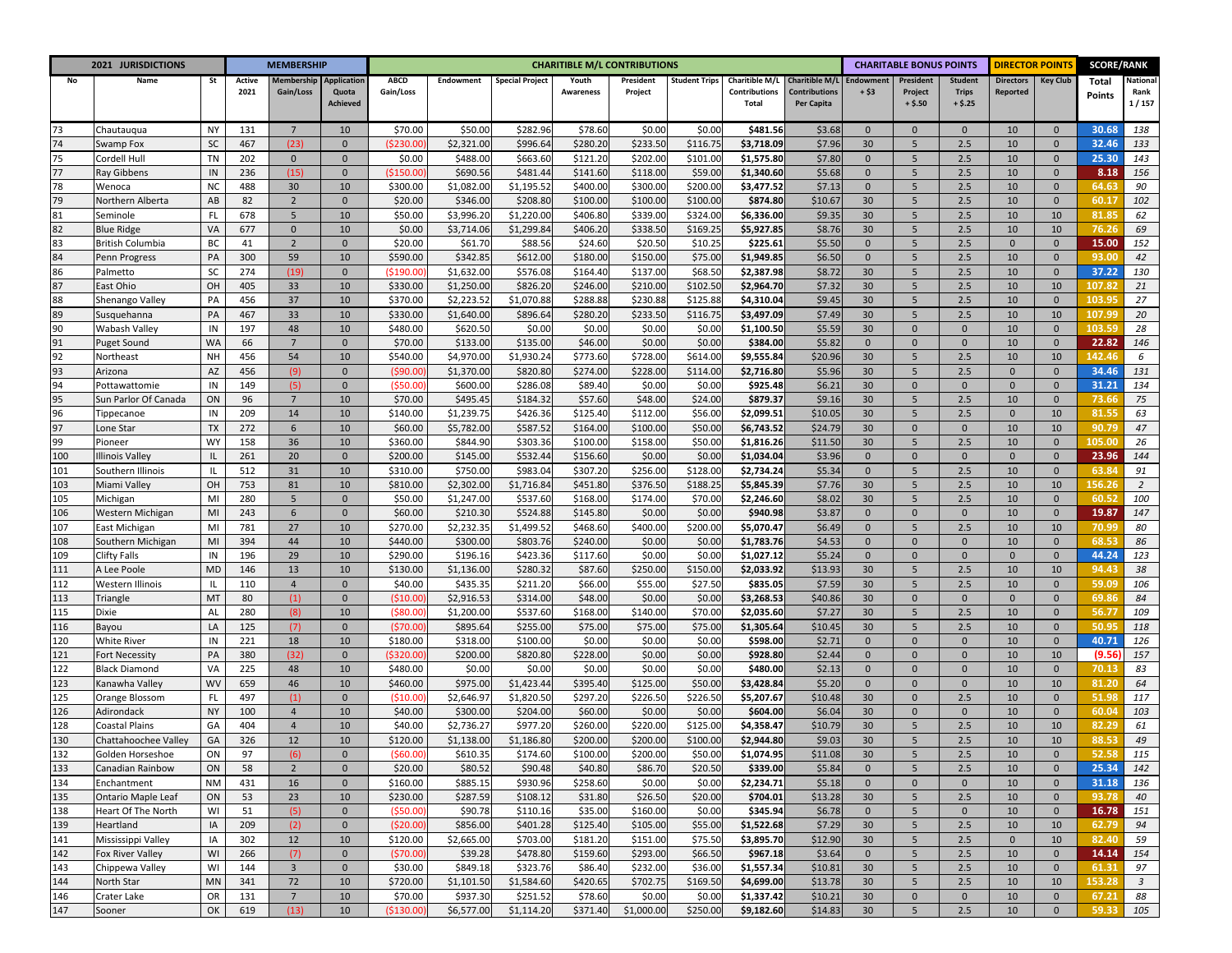| 2021 JURISDICTIONS |                                      |                 | <b>MEMBERSHIP</b> |                         |                          | <b>CHARITIBLE M/L CONTRIBUTIONS</b> |                          |                        |                     |                     |                      |                          |                                    |                    | <b>CHARITABLE BONUS POINTS</b> |                          |                     | <b>DIRECTOR POINT</b> |                 | <b>SCORE/RANK</b>       |
|--------------------|--------------------------------------|-----------------|-------------------|-------------------------|--------------------------|-------------------------------------|--------------------------|------------------------|---------------------|---------------------|----------------------|--------------------------|------------------------------------|--------------------|--------------------------------|--------------------------|---------------------|-----------------------|-----------------|-------------------------|
| No                 | Name                                 | St              | Active            | Membership              | <b>Application</b>       | <b>ABCD</b>                         | Endowment                | <b>Special Project</b> | Youth               | President           | <b>Student Trips</b> | Charitible M/L           | <b>Charitible M/L</b>              | <b>Endowment</b>   | President                      | <b>Student</b>           | <b>Directors</b>    | <b>Key Club</b>       | Total           | National                |
|                    |                                      |                 | 2021              | Gain/Loss               | Quota<br><b>Achieved</b> | Gain/Loss                           |                          |                        | Awareness           | Project             |                      | Contributions<br>Total   | <b>Contributions</b><br>Per Capita | + \$3              | Project<br>$+ $.50$            | <b>Trips</b><br>$+ $.25$ | Reported            |                       | Points          | Rank<br>1/157           |
|                    |                                      |                 |                   |                         |                          |                                     |                          |                        |                     |                     |                      |                          |                                    |                    |                                |                          |                     |                       |                 |                         |
| 73                 | Chautauqua                           | <b>NY</b>       | 131               | $7^{\circ}$             | 10                       | \$70.00                             | \$50.00                  | \$282.96               | \$78.60             | \$0.00              | \$0.00               | \$481.56                 | \$3.68                             | $\mathbf{0}$       | $\mathbf{0}$                   | $\mathbf{0}$             | 10                  | $\mathbf{0}$          | 30.68           | 138                     |
| 74                 | Swamp Fox                            | SC              | 467               | (23)                    | $\mathbf 0$              | (5230.0)                            | \$2,321.00               | \$996.64               | \$280.2             | \$233.50            | \$116.75             | \$3,718.09               | \$7.96                             | 30                 | 5                              | 2.5                      | 10                  | $\mathbf{0}$          | 32.46           | 133                     |
| 75                 | Cordell Hull                         | TN              | 202               | $\mathbf{0}$            | $\mathbf{0}$             | \$0.00                              | \$488.00                 | \$663.60               | \$121.20            | \$202.00            | \$101.00             | \$1,575.80               | \$7.80                             | $\mathbf{0}$       | 5                              | 2.5                      | 10                  | $\mathbf{0}$          | 25.30           | 143                     |
| 77                 | Ray Gibbens                          | IN              | 236               | (15)                    | $\mathbf 0$              | (\$150.0]                           | \$690.56                 | \$481.44               | \$141.60            | \$118.00            | \$59.00              | \$1,340.60               | \$5.68                             | $\mathbf 0$        | 5                              | 2.5                      | 10                  | $\mathbf 0$           | 8.18            | 156                     |
| 78                 | Wenoca                               | <b>NC</b>       | 488               | 30                      | 10                       | \$300.00                            | \$1,082.00               | \$1,195.52             | \$400.00            | \$300.00            | \$200.00             | \$3,477.52               | \$7.13                             | $\mathbf 0$        | 5                              | 2.5                      | 10                  | $\mathbf{0}$          | 64.63           | 90                      |
| 79                 | Northern Alberta                     | AB              | 82                | $\overline{2}$          | $\mathbf{0}$             | \$20.00                             | \$346.00                 | \$208.80               | \$100.00            | \$100.00            | \$100.00             | \$874.80                 | \$10.67                            | 30                 | 5                              | 2.5                      | 10                  | $\mathbf 0$           | 60.17           | 102                     |
| 81                 | Seminole                             | FL              | 678               | 5                       | 10                       | \$50.00                             | \$3,996.20               | \$1,220.00             | \$406.80            | \$339.00            | \$324.00             | \$6,336.00               | \$9.35                             | 30                 | 5                              | 2.5                      | 10                  | 10                    | 81.85           | 62                      |
| 82                 | <b>Blue Ridge</b>                    | VA              | 677               | $\mathbf 0$             | 10                       | \$0.00                              | \$3,714.06               | \$1,299.84             | \$406.20            | \$338.50            | \$169.2              | \$5,927.85               | \$8.76                             | 30                 | 5                              | 2.5                      | 10                  | 10                    | 76.26           | 69                      |
| 83                 | <b>British Columbia</b>              | BC              | 41                | $\overline{2}$          | $\mathbf 0$              | \$20.00                             | \$61.70                  | \$88.56                | \$24.60             | \$20.50             | \$10.25              | \$225.61                 | \$5.50                             | $\mathbf 0$        | 5                              | 2.5                      | $\mathbf{0}$        | $\mathbf 0$           | 15.00           | 152                     |
| 84                 | Penn Progress                        | PA              | 300               | 59                      | 10                       | \$590.00                            | \$342.85                 | \$612.00               | \$180.0             | \$150.00            | \$75.00              | \$1,949.8                | \$6.50                             | $\mathbf{0}$       | 5                              | 2.5                      | 10                  | $\mathbf{0}$          | 93.00           | 42                      |
| 86<br>87           | Palmetto                             | SC<br>OH        | 274<br>405        | (19)                    | $\mathbf{0}$<br>10       | (5190.0                             | \$1,632.00               | \$576.08               | \$164.4<br>\$246.0  | \$137.00            | \$68.50<br>\$102.5   | \$2,387.98               | \$8.72                             | 30<br>30           | 5<br>5                         | 2.5<br>2.5               | 10<br>10            | $\mathbf{0}$<br>10    | 37.22<br>107.82 | 130                     |
| 88                 | East Ohio                            | PA              | 456               | 33<br>37                | 10                       | \$330.00                            | \$1,250.00               | \$826.20               | \$288.8             | \$210.00<br>\$230.8 |                      | \$2,964.70<br>\$4,310.04 | \$7.32                             | 30                 |                                | 2.5                      | 10                  | $\Omega$              | 103.9           | 21<br>27                |
| 89                 | Shenango Valley                      | PA              | 467               | 33                      | 10                       | \$370.00<br>\$330.00                | \$2,223.52<br>\$1,640.00 | \$1,070.88<br>\$896.64 | \$280.2             | \$233.50            | \$125.8<br>\$116.75  | \$3,497.09               | \$9.45<br>\$7.49                   | 30                 | $\sqrt{5}$<br>5                | 2.5                      | 10                  | 10                    | 107.99          | 20                      |
| 90                 | Susquehanna<br>Wabash Valley         | IN              | 197               | 48                      | 10                       | \$480.00                            | \$620.50                 | \$0.00                 | \$0.00              | \$0.00              | \$0.00               | \$1,100.50               | \$5.59                             | 30                 | $\mathbf 0$                    | $\mathbf{0}$             | 10                  | $\Omega$              | 103.59          | 28                      |
| 91                 | Puget Sound                          | WA              | 66                | $7\overline{ }$         | $\mathbf 0$              | \$70.00                             | \$133.00                 | \$135.00               | \$46.00             | \$0.00              | \$0.00               | \$384.00                 | \$5.82                             | $\mathbf 0$        | $\mathbf{0}$                   | $\mathbf{0}$             | 10                  | $\Omega$              | 22.82           | 146                     |
| 92                 | Northeast                            | <b>NH</b>       | 456               | 54                      | 10                       | \$540.00                            | \$4,970.00               | \$1,930.24             | \$773.60            | \$728.00            | \$614.00             | \$9,555.84               | \$20.96                            | 30                 | 5                              | 2.5                      | 10                  | 10                    | 142.4           | 6                       |
| 93                 | Arizona                              | AZ              | 456               | (9)                     | $\mathbf 0$              | (\$90.0                             | \$1,370.00               | \$820.80               | \$274.00            | \$228.00            | \$114.00             | \$2,716.80               | \$5.96                             | 30                 | $\sqrt{5}$                     | 2.5                      | $\mathbf 0$         | $\Omega$              | 34.46           | 131                     |
| 94                 | Pottawattomie                        | IN              | 149               | (5)                     | $\mathbf 0$              | (\$50.00                            | \$600.00                 | \$286.08               | \$89.40             | \$0.00              | \$0.00               | \$925.48                 | \$6.21                             | 30                 | $\mathbf 0$                    | $\mathbf 0$              | $\mathbf{0}$        | $\mathbf{0}$          | 31.21           | 134                     |
| 95                 | Sun Parlor Of Canada                 | ON              | 96                | $7\overline{ }$         | 10                       | \$70.00                             | \$495.45                 | \$184.32               | \$57.60             | \$48.00             | \$24.00              | \$879.37                 | \$9.16                             | 30                 | 5                              | 2.5                      | 10                  | $\mathbf 0$           | 73.66           | 75                      |
| 96                 | Tippecanoe                           | IN              | 209               | 14                      | 10                       | \$140.00                            | \$1,239.75               | \$426.36               | \$125.40            | \$112.00            | \$56.00              | \$2,099.51               | \$10.05                            | 30                 | 5                              | 2.5                      | $\mathbf{0}$        | 10                    | 81.55           | 63                      |
| 97                 | one Star.                            | <b>TX</b>       | 272               | 6                       | 10                       | \$60.00                             | \$5,782.00               | \$587.52               | \$164.00            | \$100.00            | \$50.00              | \$6,743.52               | \$24.79                            | 30                 | $\mathbf 0$                    | $\mathbf{0}$             | 10                  | 10                    | 90.79           | 47                      |
| 99                 | Pioneer                              | <b>WY</b>       | 158               | 36                      | 10                       | \$360.00                            | \$844.90                 | \$303.36               | \$100.00            | \$158.00            | \$50.00              | \$1,816.26               | \$11.50                            | 30                 | 5                              | 2.5                      | 10                  | $\mathbf{0}$          | 105.00          | 26                      |
| 100                | Illinois Valley                      | IL              | 261               | 20                      | $\mathbf 0$              | \$200.00                            | \$145.00                 | \$532.44               | \$156.60            | \$0.00              | \$0.00               | \$1,034.04               | \$3.96                             | $\mathbf 0$        | $\mathbf 0$                    | $\mathbf 0$              | $\mathbf{0}$        | $\mathbf{0}$          | 23.96           | 144                     |
| 101                | Southern Illinois                    | IL              | 512               | 31                      | 10                       | \$310.00                            | \$750.00                 | \$983.04               | \$307.2             | \$256.00            | \$128.00             | \$2,734.24               | \$5.34                             | $\mathbf 0$        | 5                              | 2.5                      | 10                  | $\mathbf{0}$          | 63.84           | 91                      |
| 103                | Miami Valley                         | OH              | 753               | 81                      | 10                       | \$810.00                            | \$2,302.00               | \$1,716.84             | \$451.80            | \$376.50            | \$188.25             | \$5,845.39               | \$7.76                             | 30                 | 5                              | 2.5                      | 10                  | 10                    | 156.26          | $\overline{2}$          |
| 105                | Michigan                             | MI              | 280               | 5                       | $\mathbf 0$              | \$50.00                             | \$1,247.00               | \$537.60               | \$168.00            | \$174.00            | \$70.00              | \$2,246.60               | \$8.02                             | 30                 | 5                              | 2.5                      | 10                  | $\mathbf{0}$          | 60.52           | 100                     |
| 106                | Western Michigan                     | M <sub>l</sub>  | 243               | 6                       | $\mathbf{0}$             | \$60.00                             | \$210.30                 | \$524.88               | \$145.80            | \$0.00              | \$0.00               | \$940.98                 | \$3.87                             | $\mathbf{0}$       | $\mathbf{0}$                   | $\mathbf{0}$             | 10                  | $\mathbf{0}$          | 19.87           | 147                     |
| 107                | East Michigan                        | MI              | 781               | 27                      | 10                       | \$270.00                            | \$2,232.35               | \$1,499.52             | \$468.60            | \$400.00            | \$200.00             | \$5,070.47               | \$6.49                             | $\mathbf 0$        | 5                              | 2.5                      | 10                  | 10                    | 70.99           | 80                      |
| 108                | Southern Michigan                    | MI              | 394               | 44                      | 10                       | \$440.00                            | \$300.00                 | \$803.76               | \$240.00            | \$0.00              | \$0.00               | \$1,783.76               | \$4.53                             | $\mathbf{0}$       | $\mathbf{0}$                   | $\mathbf{0}$             | 10                  | $\mathbf{0}$          | 68.53           | 86                      |
| 109                | <b>Clifty Falls</b>                  | IN              | 196               | 29                      | 10                       | \$290.00                            | \$196.16                 | \$423.36               | \$117.60            | \$0.00              | \$0.00               | \$1,027.12               | \$5.24                             | $\mathbf{0}$       | $\mathbf 0$                    | $\mathbf{0}$             | $\mathbf{0}$        | $\mathbf{0}$          | 44.24           | 123                     |
| 111                | A Lee Poole                          | <b>MD</b>       | 146               | 13                      | 10                       | \$130.00                            | \$1,136.00               | \$280.32               | \$87.60             | \$250.00            | \$150.00             | \$2,033.92               | \$13.93                            | 30                 | 5                              | 2.5                      | 10                  | 10                    | 94.43           | 38                      |
| 112                | Western Illinois                     | IL              | 110               | $\overline{4}$          | $\mathbf 0$              | \$40.00                             | \$435.35                 | \$211.20               | \$66.00             | \$55.00             | \$27.50              | \$835.05                 | \$7.59                             | 30                 | 5                              | 2.5                      | 10                  | $\mathbf{0}$          | 59.09           | 106                     |
| 113                | Triangle                             | MT              | 80                | (1)                     | $\mathbf 0$              | (510.0                              | \$2,916.53               | \$314.00               | \$48.00             | \$0.00              | \$0.00               | \$3,268.53               | \$40.86                            | 30                 | $\mathbf 0$                    | $\mathbf{0}$             | $\mathbf{0}$        | $\mathbf{0}$          | 69.86           | 84                      |
| 115                | Dixie                                | AL              | 280               | (8)                     | 10                       | (580.0                              | \$1,200.00               | \$537.60               | \$168.0             | \$140.00            | \$70.00              | \$2,035.60               | \$7.27                             | 30                 | 5                              | 2.5                      | 10                  | $\mathbf{0}$          | 56.77           | 109                     |
| 116                | Bayou                                | LA              | 125               | (7)                     | $\mathbf{0}$             | (570.0)                             | \$895.64                 | \$255.00               | \$75.0              | \$75.00             | \$75.00              | \$1,305.64               | \$10.45                            | 30                 | 5                              | 2.5                      | 10                  | $\mathbf{0}$          | 50.95           | 118                     |
| 120                | White River                          | IN              | 221               | 18                      | 10                       | \$180.00                            | \$318.00                 | \$100.00               | \$0.00              | \$0.00              | \$0.00               | \$598.00                 | \$2.71                             | $\mathbf{0}$       | $\mathbf{0}$                   | $\mathbf{0}$             | 10                  | $\mathbf{0}$          | 40.71           | 126                     |
| 121                | Fort Necessity                       | PA              | 380               | (32)                    | $\Omega$                 | \$320.00                            | \$200.00                 | \$820.80               | \$228.00            | \$0.00              | \$0.00               | \$928.80                 | \$2.44                             | $\mathbf{0}$       | $\mathbf{0}$                   | $\Omega$                 | 10                  | 10                    | (9.56)          | 157                     |
| 122                | <b>Black Diamond</b>                 | VA              | 225               | 48                      | 10                       | \$480.00                            | \$0.00                   | \$0.00                 | \$0.0               | \$0.00<br>\$125.00  | \$0.00               | \$480.00                 | \$2.13                             | $\mathbf{0}$       | $\mathbf{0}$<br>$\Omega$       | $\Omega$<br>$\Omega$     | 10<br>10            | $\mathbf 0$           | 70.13<br>81.20  | 83                      |
| 123                | Kanawha Valley<br>Orange Blossom     | WV<br>FL        | 659<br>497        | 46                      | 10<br>$\mathbf 0$        | \$460.00<br>(510.00                 | \$975.00<br>\$2,646.97   | \$1,423.44             | \$395.40<br>\$297.2 | \$226.50            | \$50.00<br>\$226.50  | \$3,428.84               | \$5.20                             | $\mathbf{0}$<br>30 | $\mathbf{0}$                   | 2.5                      | 10                  | 10<br>$\mathbf{0}$    | 51.98           | 64<br>117               |
| 125<br>126         |                                      | NY              | 100               | (1)<br>$\overline{4}$   | 10                       | \$40.00                             | \$300.00                 | \$1,820.50<br>\$204.00 | \$60.00             | \$0.00              | \$0.00               | \$5,207.67               | \$10.48<br>\$6.04                  | 30                 | $\Omega$                       | $\mathbf{0}$             | 10                  | $\mathbf{0}$          | 60.04           | 103                     |
| 128                | Adirondack<br>Coastal Plains         | GA              | 404               | $\overline{4}$          | 10                       | \$40.00                             | \$2,736.27               | \$977.20               | \$260.0             | \$220.0             | \$125.00             | \$604.00<br>\$4,358.47   | \$10.79                            | 30                 | 5                              | 2.5                      | 10                  | 10                    | 82.29           | 61                      |
| 130                | Chattahoochee Valley                 | GA              | 326               | 12                      | 10                       | \$120.00                            | \$1,138.00               | \$1,186.80             | \$200.00            | \$200.00            | \$100.00             | \$2,944.80               | \$9.03                             | 30                 | 5                              | 2.5                      | 10                  | 10                    | 88.53           | 49                      |
| 132                |                                      |                 |                   |                         | 0                        |                                     |                          | \$174.60               | \$100.00            | \$200.00            | \$50.00              |                          | \$11.08                            |                    | 5                              |                          |                     | 0                     |                 |                         |
| 133                | Golden Horseshoe<br>Canadian Rainbow | <b>ON</b><br>ON | 97<br>58          | (6)<br>$\overline{2}$   | $\mathbf 0$              | (560.00)<br>\$20.00                 | \$610.35<br>\$80.52      | \$90.48                | \$40.80             | \$86.70             | \$20.50              | \$1,074.95<br>\$339.00   | \$5.84                             | 30<br>$\mathbf 0$  | 5                              | 2.5<br>2.5               | 10<br>10            | $\mathbf 0$           | 25.34           | 115<br>142              |
| 134                | Enchantment                          | NM              | 431               | 16                      | $\mathbf{0}$             | \$160.00                            | \$885.15                 | \$930.96               | \$258.60            | \$0.00              | \$0.00               | \$2,234.71               | \$5.18                             | $\mathbf{0}$       | $\mathbf 0$                    | $\mathbf 0$              | 10                  | $\mathbf 0$           | 31.18           | 136                     |
| 135                | Ontario Maple Leaf                   | ON              | 53                | 23                      | 10                       | \$230.00                            | \$287.59                 | \$108.12               | \$31.80             | \$26.50             | \$20.00              | \$704.01                 | \$13.28                            | 30                 | 5                              | 2.5                      | 10                  | $\mathbf 0$           | 93.78           | 40                      |
| 138                | Heart Of The North                   | WI              | 51                | (5)                     | $\mathbf 0$              | ( \$50.00                           | \$90.78                  | \$110.16               | \$35.00             | \$160.00            | \$0.00               | \$345.94                 | \$6.78                             | $\mathbf{0}$       | 5                              | $\mathbf 0$              | 10                  | $\mathbf 0$           | 16.78           | 151                     |
| 139                | Heartland                            | IA              | 209               | (2)                     | $\mathbf{0}$             | (520.00)                            | \$856.00                 | \$401.28               | \$125.40            | \$105.00            | \$55.00              | \$1,522.68               | \$7.29                             | 30                 | 5                              | $2.5\,$                  | 10                  | 10                    | 62.79           | 94                      |
| 141                | Mississippi Valley                   | ΙA              | 302               | 12                      | 10                       | \$120.00                            | \$2,665.00               | \$703.00               | \$181.20            | \$151.00            | \$75.50              | \$3,895.70               | \$12.90                            | 30                 | 5                              | 2.5                      | $\mathsf{O}\xspace$ | 10                    | 82.40           | 59                      |
| 142                | Fox River Valley                     | WI              | 266               | (7)                     | $\mathsf{O}\xspace$      | (570.00                             | \$39.28                  | \$478.80               | \$159.60            | \$293.00            | \$66.50              | \$967.18                 | \$3.64                             | $\mathbf{0}$       | 5                              | 2.5                      | 10                  | $\mathbf 0$           | 14.14           | 154                     |
| 143                | Chippewa Valley                      | WI              | 144               | $\overline{\mathbf{3}}$ | $\mathbf 0$              | \$30.00                             | \$849.18                 | \$323.76               | \$86.40             | \$232.00            | \$36.00              | \$1,557.34               | \$10.81                            | 30                 | 5                              | 2.5                      | 10                  | $\mathbf 0$           | 61.31           | 97                      |
| 144                | North Star                           | MN              | 341               | 72                      | 10                       | \$720.00                            | \$1,101.50               | \$1,584.60             | \$420.65            | \$702.75            | \$169.50             | \$4,699.00               | \$13.78                            | 30                 | 5                              | 2.5                      | 10                  | 10                    | 153.28          | $\overline{\mathbf{3}}$ |
| 146                | Crater Lake                          | OR              | 131               | $7\overline{ }$         | 10                       | \$70.00                             | \$937.30                 | \$251.52               | \$78.60             | \$0.00              | \$0.00               | \$1,337.42               | \$10.21                            | 30                 | $\mathbf 0$                    | $\mathbf 0$              | 10                  | $\mathbf 0$           | 67.21           | 88                      |
| 147                | Sooner                               | OK              | 619               | (13)                    | 10                       | (\$130.00]                          | \$6,577.00               | \$1,114.20             | \$371.40            | \$1,000.00          | \$250.00             | \$9,182.60               | \$14.83                            | 30                 | 5                              | 2.5                      | 10                  | $\mathbf 0$           | 59.33           | 105                     |